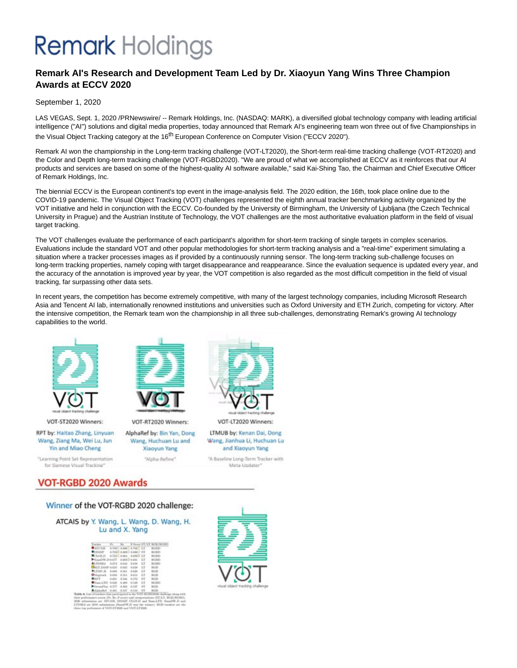# **Remark** Holdings

### **Remark AI's Research and Development Team Led by Dr. Xiaoyun Yang Wins Three Champion Awards at ECCV 2020**

#### September 1, 2020

LAS VEGAS, Sept. 1, 2020 /PRNewswire/ -- Remark Holdings, Inc. (NASDAQ: MARK), a diversified global technology company with leading artificial intelligence ("AI") solutions and digital media properties, today announced that Remark AI's engineering team won three out of five Championships in the Visual Object Tracking category at the 16<sup>th</sup> European Conference on Computer Vision ("ECCV 2020").

Remark AI won the championship in the Long-term tracking challenge (VOT-LT2020), the Short-term real-time tracking challenge (VOT-RT2020) and the Color and Depth long-term tracking challenge (VOT-RGBD2020). "We are proud of what we accomplished at ECCV as it reinforces that our AI products and services are based on some of the highest-quality AI software available," said Kai-Shing Tao, the Chairman and Chief Executive Officer of Remark Holdings, Inc.

The biennial ECCV is the European continent's top event in the image-analysis field. The 2020 edition, the 16th, took place online due to the COVID-19 pandemic. The Visual Object Tracking (VOT) challenges represented the eighth annual tracker benchmarking activity organized by the VOT initiative and held in conjunction with the ECCV. Co-founded by the University of Birmingham, the University of Ljubljana (the Czech Technical University in Prague) and the Austrian Institute of Technology, the VOT challenges are the most authoritative evaluation platform in the field of visual target tracking.

The VOT challenges evaluate the performance of each participant's algorithm for short-term tracking of single targets in complex scenarios. Evaluations include the standard VOT and other popular methodologies for short-term tracking analysis and a "real-time" experiment simulating a situation where a tracker processes images as if provided by a continuously running sensor. The long-term tracking sub-challenge focuses on long-term tracking properties, namely coping with target disappearance and reappearance. Since the evaluation sequence is updated every year, and the accuracy of the annotation is improved year by year, the VOT competition is also regarded as the most difficult competition in the field of visual tracking, far surpassing other data sets.

In recent years, the competition has become extremely competitive, with many of the largest technology companies, including Microsoft Research Asia and Tencent AI lab, internationally renowned institutions and universities such as Oxford University and ETH Zurich, competing for victory. After the intensive competition, the Remark team won the championship in all three sub-challenges, demonstrating Remark's growing AI technology capabilities to the world.



VOT-ST2020 Winners:

RPT by: Haitao Zhang, Linyuan Wang, Ziang Ma, Wei Lu, Jun Yin and Miao Cheng

"Learning Point Set Representation for Siamese Visual Tracking\*



VOT-RT2020 Winners: AlphaRef by: Bin Yan, Dong Wang, Huchuan Lu and **Xiaoyun Yang** 

"Alpha-Refine"



VOT-LT2020 Winners:

LTMUB by: Kenan Dai, Dong Wang, Jianhua Li, Huchuan Lu and Xiaoyun Yang

"A Baseline Long-Term Tracker with Meta-Updater\*

## **VOT-RGBD 2020 Awards**

#### Winner of the VOT-RGBD 2020 challenge:

ATCAIS by Y. Wang, L. Wang, D. Wang, H. Lu and X. Yang

| Tracker Pr Rr F-Sour-ST/LT-BGB/BGBD     |  |  |               |
|-----------------------------------------|--|--|---------------|
| ATCAB also asset also LT BORD           |  |  |               |
| <b>COLUMN A THE LOOKED AGES</b> ST ROBB |  |  |               |
| CLOSED ATIST-ROSE ROOMS LT RGBD         |  |  |               |
| Higgs TJ 1607-1607-160 Place Press      |  |  |               |
| ALTESEd palls once once i.T.            |  |  | <b>BOTHER</b> |
| DRIFFORFORD 0.00 0.03 LT                |  |  | RGB.          |
| "ETMUS new also ago IT                  |  |  | <b>BOTH</b>   |
| Oblestrack 0.054 0.551 0.654 LT         |  |  | RGB           |
| <b>DRIFT</b> DANK 0.500 0.572 ST        |  |  | BOTB.         |
| Time ITD 0.626 0.600 0.549 IT           |  |  | <b>BOILD</b>  |
| Consellies 0.577 0.502 0.537 ST         |  |  | - BATBLE      |
| TR HIS TATE THE BEAT ALL RE             |  |  | <b>BOB</b>    |

4. Lat of trackers that participated in the OOU-SGRID000-challenger<br>performance sources (PL Be, Fourar) and computations (FLG, B)<br>mbainining are .<br>(IPCAIS, DDMP) CLGS.D and SimulATD. Since<br>Ed are 2019 mbainings .<br>(Samuel N

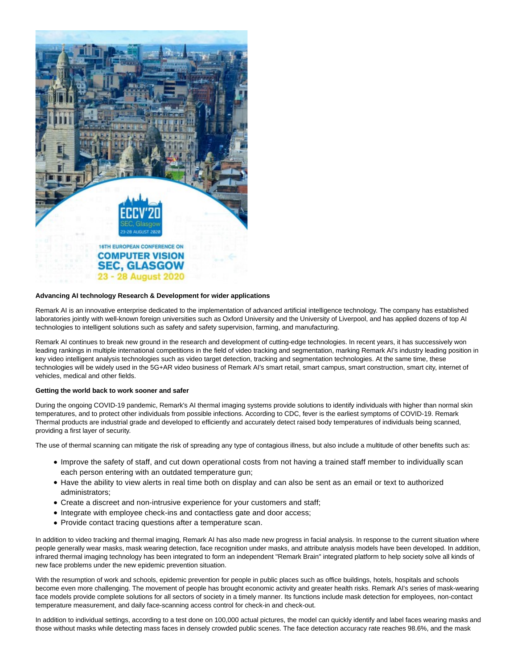

#### **Advancing AI technology Research & Development for wider applications**

Remark AI is an innovative enterprise dedicated to the implementation of advanced artificial intelligence technology. The company has established laboratories jointly with well-known foreign universities such as Oxford University and the University of Liverpool, and has applied dozens of top AI technologies to intelligent solutions such as safety and safety supervision, farming, and manufacturing.

Remark AI continues to break new ground in the research and development of cutting-edge technologies. In recent years, it has successively won leading rankings in multiple international competitions in the field of video tracking and segmentation, marking Remark AI's industry leading position in key video intelligent analysis technologies such as video target detection, tracking and segmentation technologies. At the same time, these technologies will be widely used in the 5G+AR video business of Remark AI's smart retail, smart campus, smart construction, smart city, internet of vehicles, medical and other fields.

#### **Getting the world back to work sooner and safer**

During the ongoing COVID-19 pandemic, Remark's AI thermal imaging systems provide solutions to identify individuals with higher than normal skin temperatures, and to protect other individuals from possible infections. According to CDC, fever is the earliest symptoms of COVID-19. Remark Thermal products are industrial grade and developed to efficiently and accurately detect raised body temperatures of individuals being scanned, providing a first layer of security.

The use of thermal scanning can mitigate the risk of spreading any type of contagious illness, but also include a multitude of other benefits such as:

- Improve the safety of staff, and cut down operational costs from not having a trained staff member to individually scan each person entering with an outdated temperature gun;
- Have the ability to view alerts in real time both on display and can also be sent as an email or text to authorized administrators;
- Create a discreet and non-intrusive experience for your customers and staff;
- Integrate with employee check-ins and contactless gate and door access;
- Provide contact tracing questions after a temperature scan.

In addition to video tracking and thermal imaging, Remark AI has also made new progress in facial analysis. In response to the current situation where people generally wear masks, mask wearing detection, face recognition under masks, and attribute analysis models have been developed. In addition, infrared thermal imaging technology has been integrated to form an independent "Remark Brain" integrated platform to help society solve all kinds of new face problems under the new epidemic prevention situation.

With the resumption of work and schools, epidemic prevention for people in public places such as office buildings, hotels, hospitals and schools become even more challenging. The movement of people has brought economic activity and greater health risks. Remark AI's series of mask-wearing face models provide complete solutions for all sectors of society in a timely manner. Its functions include mask detection for employees, non-contact temperature measurement, and daily face-scanning access control for check-in and check-out.

In addition to individual settings, according to a test done on 100,000 actual pictures, the model can quickly identify and label faces wearing masks and those without masks while detecting mass faces in densely crowded public scenes. The face detection accuracy rate reaches 98.6%, and the mask